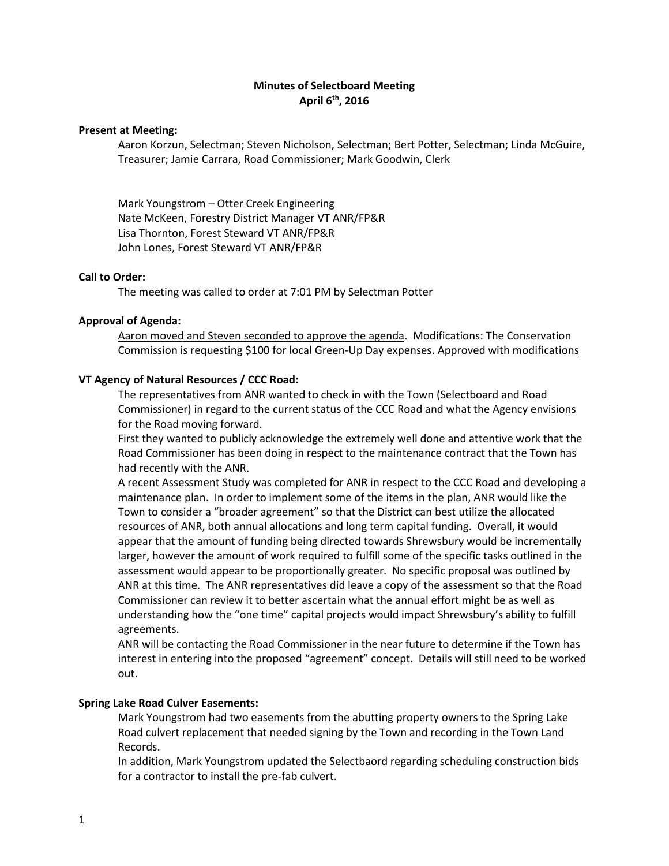# **Minutes of Selectboard Meeting April 6th, 2016**

### **Present at Meeting:**

Aaron Korzun, Selectman; Steven Nicholson, Selectman; Bert Potter, Selectman; Linda McGuire, Treasurer; Jamie Carrara, Road Commissioner; Mark Goodwin, Clerk

Mark Youngstrom – Otter Creek Engineering Nate McKeen, Forestry District Manager VT ANR/FP&R Lisa Thornton, Forest Steward VT ANR/FP&R John Lones, Forest Steward VT ANR/FP&R

### **Call to Order:**

The meeting was called to order at 7:01 PM by Selectman Potter

#### **Approval of Agenda:**

Aaron moved and Steven seconded to approve the agenda. Modifications: The Conservation Commission is requesting \$100 for local Green-Up Day expenses. Approved with modifications

### **VT Agency of Natural Resources / CCC Road:**

The representatives from ANR wanted to check in with the Town (Selectboard and Road Commissioner) in regard to the current status of the CCC Road and what the Agency envisions for the Road moving forward.

First they wanted to publicly acknowledge the extremely well done and attentive work that the Road Commissioner has been doing in respect to the maintenance contract that the Town has had recently with the ANR.

A recent Assessment Study was completed for ANR in respect to the CCC Road and developing a maintenance plan. In order to implement some of the items in the plan, ANR would like the Town to consider a "broader agreement" so that the District can best utilize the allocated resources of ANR, both annual allocations and long term capital funding. Overall, it would appear that the amount of funding being directed towards Shrewsbury would be incrementally larger, however the amount of work required to fulfill some of the specific tasks outlined in the assessment would appear to be proportionally greater. No specific proposal was outlined by ANR at this time. The ANR representatives did leave a copy of the assessment so that the Road Commissioner can review it to better ascertain what the annual effort might be as well as understanding how the "one time" capital projects would impact Shrewsbury's ability to fulfill agreements.

ANR will be contacting the Road Commissioner in the near future to determine if the Town has interest in entering into the proposed "agreement" concept. Details will still need to be worked out.

## **Spring Lake Road Culver Easements:**

Mark Youngstrom had two easements from the abutting property owners to the Spring Lake Road culvert replacement that needed signing by the Town and recording in the Town Land Records.

In addition, Mark Youngstrom updated the Selectbaord regarding scheduling construction bids for a contractor to install the pre-fab culvert.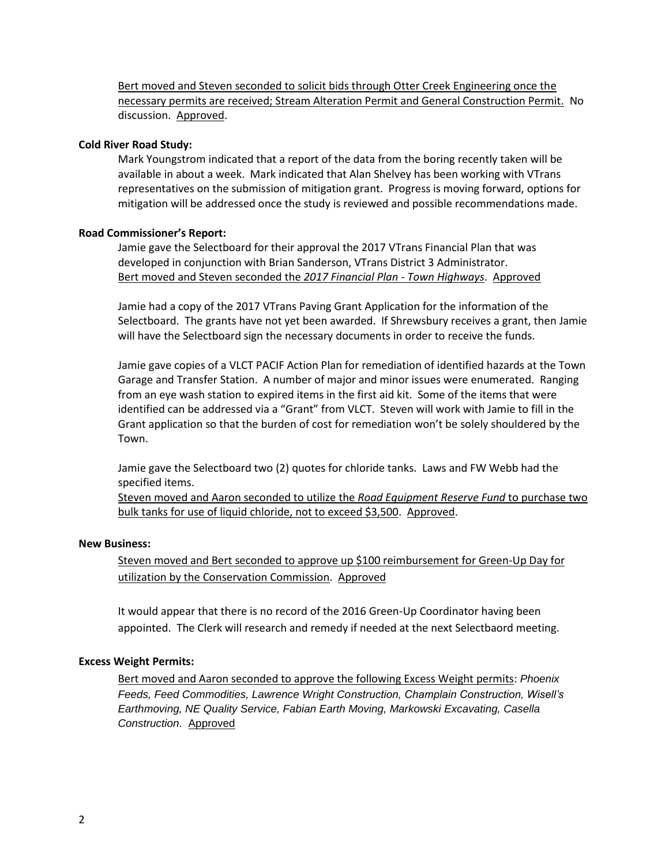Bert moved and Steven seconded to solicit bids through Otter Creek Engineering once the necessary permits are received; Stream Alteration Permit and General Construction Permit. No discussion. Approved.

### **Cold River Road Study:**

Mark Youngstrom indicated that a report of the data from the boring recently taken will be available in about a week. Mark indicated that Alan Shelvey has been working with VTrans representatives on the submission of mitigation grant. Progress is moving forward, options for mitigation will be addressed once the study is reviewed and possible recommendations made.

### **Road Commissioner's Report:**

Jamie gave the Selectboard for their approval the 2017 VTrans Financial Plan that was developed in conjunction with Brian Sanderson, VTrans District 3 Administrator. Bert moved and Steven seconded the *2017 Financial Plan - Town Highways*. Approved

Jamie had a copy of the 2017 VTrans Paving Grant Application for the information of the Selectboard. The grants have not yet been awarded. If Shrewsbury receives a grant, then Jamie will have the Selectboard sign the necessary documents in order to receive the funds.

Jamie gave copies of a VLCT PACIF Action Plan for remediation of identified hazards at the Town Garage and Transfer Station. A number of major and minor issues were enumerated. Ranging from an eye wash station to expired items in the first aid kit. Some of the items that were identified can be addressed via a "Grant" from VLCT. Steven will work with Jamie to fill in the Grant application so that the burden of cost for remediation won't be solely shouldered by the Town.

Jamie gave the Selectboard two (2) quotes for chloride tanks. Laws and FW Webb had the specified items.

Steven moved and Aaron seconded to utilize the *Road Equipment Reserve Fund* to purchase two bulk tanks for use of liquid chloride, not to exceed \$3,500. Approved.

#### **New Business:**

Steven moved and Bert seconded to approve up \$100 reimbursement for Green-Up Day for utilization by the Conservation Commission. Approved

It would appear that there is no record of the 2016 Green-Up Coordinator having been appointed. The Clerk will research and remedy if needed at the next Selectbaord meeting.

#### **Excess Weight Permits:**

Bert moved and Aaron seconded to approve the following Excess Weight permits: *Phoenix Feeds, Feed Commodities, Lawrence Wright Construction, Champlain Construction, Wisell's Earthmoving, NE Quality Service, Fabian Earth Moving, Markowski Excavating, Casella Construction*. Approved